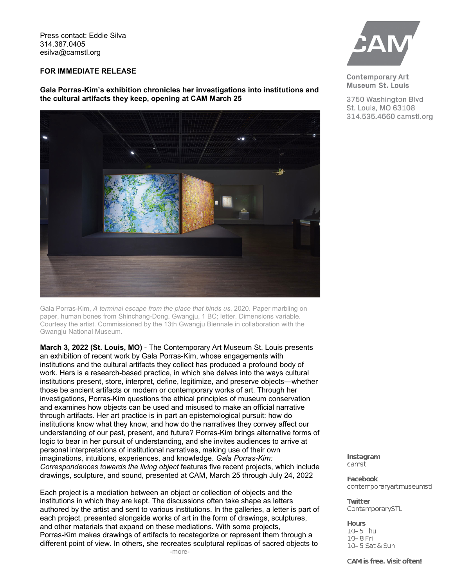Press contact: Eddie Silva 314.387.0405 esilva@camstl.org

## **FOR IMMEDIATE RELEASE**

**Gala Porras-Kim's exhibition chronicles her investigations into institutions and the cultural artifacts they keep, opening at CAM March 25**



Gala Porras-Kim, *A terminal escape from the place that binds us*, 2020. Paper marbling on paper, human bones from Shinchang-Dong, Gwangju, 1 BC; letter. Dimensions variable. Courtesy the artist. Commissioned by the 13th Gwangju Biennale in collaboration with the Gwangju National Museum.

**March 3, 2022 (St. Louis, MO)** - The Contemporary Art Museum St. Louis presents an exhibition of recent work by Gala Porras-Kim, whose engagements with institutions and the cultural artifacts they collect has produced a profound body of work. Hers is a research-based practice, in which she delves into the ways cultural institutions present, store, interpret, define, legitimize, and preserve objects—whether those be ancient artifacts or modern or contemporary works of art. Through her investigations, Porras-Kim questions the ethical principles of museum conservation and examines how objects can be used and misused to make an official narrative through artifacts. Her art practice is in part an epistemological pursuit: how do institutions know what they know, and how do the narratives they convey affect our understanding of our past, present, and future? Porras-Kim brings alternative forms of logic to bear in her pursuit of understanding, and she invites audiences to arrive at personal interpretations of institutional narratives, making use of their own imaginations, intuitions, experiences, and knowledge. *Gala Porras-Kim: Correspondences towards the living object* features five recent projects, which include drawings, sculpture, and sound, presented at CAM, March 25 through July 24, 2022

Each project is a mediation between an object or collection of objects and the institutions in which they are kept. The discussions often take shape as letters authored by the artist and sent to various institutions. In the galleries, a letter is part of each project, presented alongside works of art in the form of drawings, sculptures, and other materials that expand on these mediations. With some projects, Porras-Kim makes drawings of artifacts to recategorize or represent them through a different point of view. In others, she recreates sculptural replicas of sacred objects to



**Contemporary Art** Museum St. Louis

3750 Washington Blvd St. Louis, MO 63108 314.535.4660 camstl.org

Instagram camstl

**Facebook** contemporaryartmuseumstl

**Twitter** ContemporarySTL

**Hours** 10-5 Thu 10-8 Fri 10-5 Sat & Sun

CAM is free. Visit often!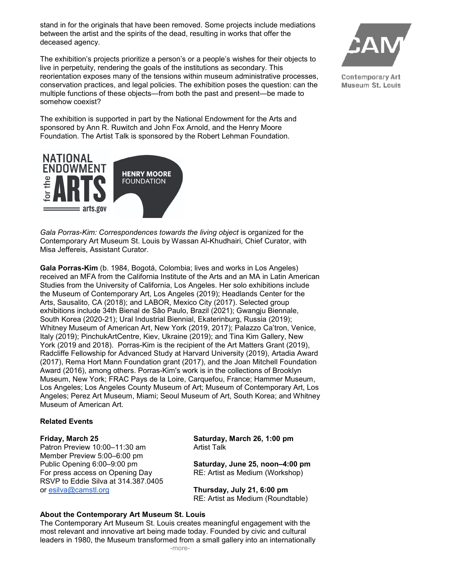stand in for the originals that have been removed. Some projects include mediations between the artist and the spirits of the dead, resulting in works that offer the deceased agency.

The exhibition's projects prioritize a person's or a people's wishes for their objects to live in perpetuity, rendering the goals of the institutions as secondary. This reorientation exposes many of the tensions within museum administrative processes, conservation practices, and legal policies. The exhibition poses the question: can the multiple functions of these objects—from both the past and present—be made to somehow coexist?

The exhibition is supported in part by the National Endowment for the Arts and sponsored by Ann R. Ruwitch and John Fox Arnold, and the Henry Moore Foundation. The Artist Talk is sponsored by the Robert Lehman Foundation.



*Gala Porras-Kim: Correspondences towards the living object* is organized for the Contemporary Art Museum St. Louis by Wassan Al-Khudhairi, Chief Curator, with Misa Jeffereis, Assistant Curator.

**Gala Porras-Kim** (b. 1984, Bogotá, Colombia; lives and works in Los Angeles) received an MFA from the California Institute of the Arts and an MA in Latin American Studies from the University of California, Los Angeles. Her solo exhibitions include the Museum of Contemporary Art, Los Angeles (2019); Headlands Center for the Arts, Sausalito, CA (2018); and LABOR, Mexico City (2017). Selected group exhibitions include 34th Bienal de São Paulo, Brazil (2021); Gwangju Biennale, South Korea (2020-21); Ural Industrial Biennial, Ekaterinburg, Russia (2019); Whitney Museum of American Art, New York (2019, 2017); Palazzo Ca'tron, Venice, Italy (2019); PinchukArtCentre, Kiev, Ukraine (2019); and Tina Kim Gallery, New York (2019 and 2018). Porras-Kim is the recipient of the Art Matters Grant (2019), Radcliffe Fellowship for Advanced Study at Harvard University (2019), Artadia Award (2017), Rema Hort Mann Foundation grant (2017), and the Joan Mitchell Foundation Award (2016), among others. Porras-Kim's work is in the collections of Brooklyn Museum, New York; FRAC Pays de la Loire, Carquefou, France; Hammer Museum, Los Angeles; Los Angeles County Museum of Art; Museum of Contemporary Art, Los Angeles; Perez Art Museum, Miami; Seoul Museum of Art, South Korea; and Whitney Museum of American Art.

## **Related Events**

## **Friday, March 25**

Patron Preview 10:00–11:30 am Member Preview 5:00–6:00 pm Public Opening 6:00–9:00 pm For press access on Opening Day RSVP to Eddie Silva at 314.387.0405 or [esilva@camstl.org](mailto:esilva@camstl.org)

**Saturday, March 26, 1:00 pm** Artist Talk

**Saturday, June 25, noon–4:00 pm**  RE: Artist as Medium (Workshop)

**Thursday, July 21, 6:00 pm** RE: Artist as Medium (Roundtable)

## **About the Contemporary Art Museum St. Louis**

The Contemporary Art Museum St. Louis creates meaningful engagement with the most relevant and innovative art being made today. Founded by civic and cultural leaders in 1980, the Museum transformed from a small gallery into an internationally



Contemporary Art Museum St. Louis